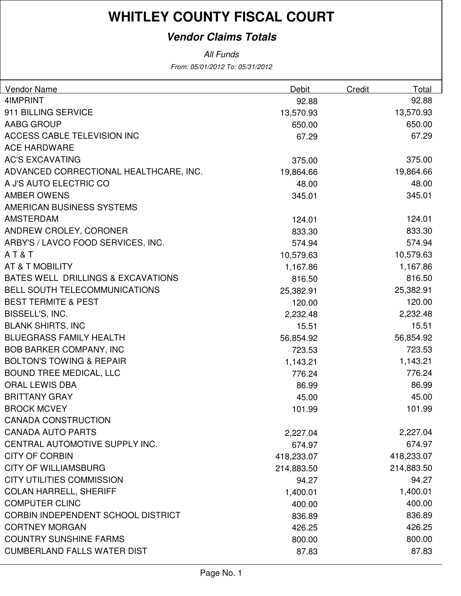### **Vendor Claims Totals**

From: 05/01/2012 To: 05/31/2012 All Funds

| Vendor Name                            | Debit      | Credit | Total      |
|----------------------------------------|------------|--------|------------|
| 4IMPRINT                               | 92.88      |        | 92.88      |
| 911 BILLING SERVICE                    | 13,570.93  |        | 13,570.93  |
| AABG GROUP                             | 650.00     |        | 650.00     |
| ACCESS CABLE TELEVISION INC            | 67.29      |        | 67.29      |
| <b>ACE HARDWARE</b>                    |            |        |            |
| <b>AC'S EXCAVATING</b>                 | 375.00     |        | 375.00     |
| ADVANCED CORRECTIONAL HEALTHCARE, INC. | 19,864.66  |        | 19,864.66  |
| A J'S AUTO ELECTRIC CO                 | 48.00      |        | 48.00      |
| <b>AMBER OWENS</b>                     | 345.01     |        | 345.01     |
| AMERICAN BUSINESS SYSTEMS              |            |        |            |
| <b>AMSTERDAM</b>                       | 124.01     |        | 124.01     |
| ANDREW CROLEY, CORONER                 | 833.30     |        | 833.30     |
| ARBY'S / LAVCO FOOD SERVICES, INC.     | 574.94     |        | 574.94     |
| AT&T                                   | 10,579.63  |        | 10,579.63  |
| AT & T MOBILITY                        | 1,167.86   |        | 1,167.86   |
| BATES WELL DRILLINGS & EXCAVATIONS     | 816.50     |        | 816.50     |
| <b>BELL SOUTH TELECOMMUNICATIONS</b>   | 25,382.91  |        | 25,382.91  |
| <b>BEST TERMITE &amp; PEST</b>         | 120.00     |        | 120.00     |
| BISSELL'S, INC.                        | 2,232.48   |        | 2,232.48   |
| <b>BLANK SHIRTS, INC</b>               | 15.51      |        | 15.51      |
| <b>BLUEGRASS FAMILY HEALTH</b>         | 56,854.92  |        | 56,854.92  |
| <b>BOB BARKER COMPANY, INC</b>         | 723.53     |        | 723.53     |
| <b>BOLTON'S TOWING &amp; REPAIR</b>    | 1,143.21   |        | 1,143.21   |
| <b>BOUND TREE MEDICAL, LLC</b>         | 776.24     |        | 776.24     |
| <b>ORAL LEWIS DBA</b>                  | 86.99      |        | 86.99      |
| <b>BRITTANY GRAY</b>                   | 45.00      |        | 45.00      |
| <b>BROCK MCVEY</b>                     | 101.99     |        | 101.99     |
| <b>CANADA CONSTRUCTION</b>             |            |        |            |
| <b>CANADA AUTO PARTS</b>               | 2,227.04   |        | 2,227.04   |
| CENTRAL AUTOMOTIVE SUPPLY INC.         | 674.97     |        | 674.97     |
| <b>CITY OF CORBIN</b>                  | 418,233.07 |        | 418,233.07 |
| <b>CITY OF WILLIAMSBURG</b>            | 214,883.50 |        | 214,883.50 |
| <b>CITY UTILITIES COMMISSION</b>       | 94.27      |        | 94.27      |
| <b>COLAN HARRELL, SHERIFF</b>          | 1,400.01   |        | 1,400.01   |
| <b>COMPUTER CLINC</b>                  | 400.00     |        | 400.00     |
| CORBIN INDEPENDENT SCHOOL DISTRICT     | 836.89     |        | 836.89     |
| <b>CORTNEY MORGAN</b>                  | 426.25     |        | 426.25     |
| <b>COUNTRY SUNSHINE FARMS</b>          | 800.00     |        | 800.00     |
| <b>CUMBERLAND FALLS WATER DIST</b>     | 87.83      |        | 87.83      |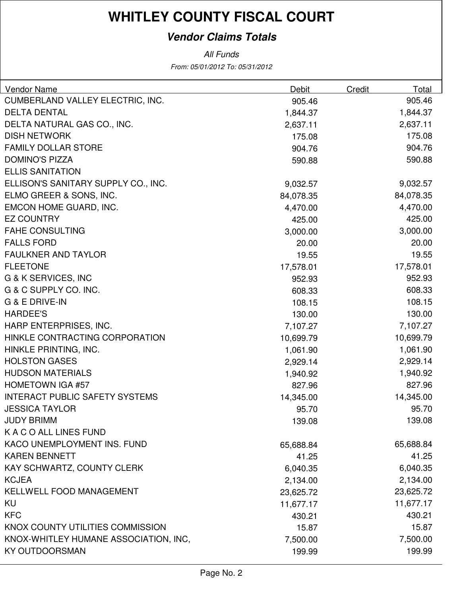### **Vendor Claims Totals**

All Funds

From: 05/01/2012 To: 05/31/2012

| Vendor Name                           | Debit     | Credit | Total     |
|---------------------------------------|-----------|--------|-----------|
| CUMBERLAND VALLEY ELECTRIC, INC.      | 905.46    |        | 905.46    |
| <b>DELTA DENTAL</b>                   | 1,844.37  |        | 1,844.37  |
| DELTA NATURAL GAS CO., INC.           | 2,637.11  |        | 2,637.11  |
| <b>DISH NETWORK</b>                   | 175.08    |        | 175.08    |
| <b>FAMILY DOLLAR STORE</b>            | 904.76    |        | 904.76    |
| <b>DOMINO'S PIZZA</b>                 | 590.88    |        | 590.88    |
| <b>ELLIS SANITATION</b>               |           |        |           |
| ELLISON'S SANITARY SUPPLY CO., INC.   | 9,032.57  |        | 9,032.57  |
| ELMO GREER & SONS, INC.               | 84,078.35 |        | 84,078.35 |
| EMCON HOME GUARD, INC.                | 4,470.00  |        | 4,470.00  |
| <b>EZ COUNTRY</b>                     | 425.00    |        | 425.00    |
| <b>FAHE CONSULTING</b>                | 3,000.00  |        | 3,000.00  |
| <b>FALLS FORD</b>                     | 20.00     |        | 20.00     |
| <b>FAULKNER AND TAYLOR</b>            | 19.55     |        | 19.55     |
| <b>FLEETONE</b>                       | 17,578.01 |        | 17,578.01 |
| G & K SERVICES, INC                   | 952.93    |        | 952.93    |
| G & C SUPPLY CO. INC.                 | 608.33    |        | 608.33    |
| G & E DRIVE-IN                        | 108.15    |        | 108.15    |
| <b>HARDEE'S</b>                       | 130.00    |        | 130.00    |
| HARP ENTERPRISES, INC.                | 7,107.27  |        | 7,107.27  |
| HINKLE CONTRACTING CORPORATION        | 10,699.79 |        | 10,699.79 |
| HINKLE PRINTING, INC.                 | 1,061.90  |        | 1,061.90  |
| <b>HOLSTON GASES</b>                  | 2,929.14  |        | 2,929.14  |
| <b>HUDSON MATERIALS</b>               | 1,940.92  |        | 1,940.92  |
| <b>HOMETOWN IGA #57</b>               | 827.96    |        | 827.96    |
| <b>INTERACT PUBLIC SAFETY SYSTEMS</b> | 14,345.00 |        | 14,345.00 |
| <b>JESSICA TAYLOR</b>                 | 95.70     |        | 95.70     |
| <b>JUDY BRIMM</b>                     | 139.08    |        | 139.08    |
| K A C O ALL LINES FUND                |           |        |           |
| KACO UNEMPLOYMENT INS. FUND           | 65,688.84 |        | 65,688.84 |
| <b>KAREN BENNETT</b>                  | 41.25     |        | 41.25     |
| KAY SCHWARTZ, COUNTY CLERK            | 6,040.35  |        | 6,040.35  |
| <b>KCJEA</b>                          | 2,134.00  |        | 2,134.00  |
| <b>KELLWELL FOOD MANAGEMENT</b>       | 23,625.72 |        | 23,625.72 |
| <b>KU</b>                             | 11,677.17 |        | 11,677.17 |
| <b>KFC</b>                            | 430.21    |        | 430.21    |
| KNOX COUNTY UTILITIES COMMISSION      | 15.87     |        | 15.87     |
| KNOX-WHITLEY HUMANE ASSOCIATION, INC, | 7,500.00  |        | 7,500.00  |
| <b>KY OUTDOORSMAN</b>                 | 199.99    |        | 199.99    |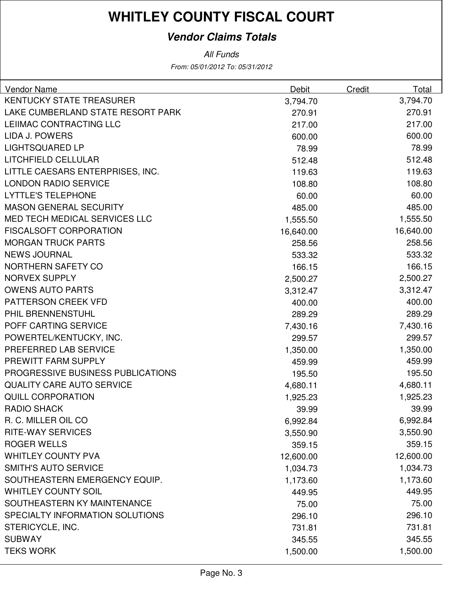### **Vendor Claims Totals**

All Funds

From: 05/01/2012 To: 05/31/2012

| <b>Vendor Name</b>                   | Debit     | Credit | Total     |
|--------------------------------------|-----------|--------|-----------|
| <b>KENTUCKY STATE TREASURER</b>      | 3,794.70  |        | 3,794.70  |
| LAKE CUMBERLAND STATE RESORT PARK    | 270.91    |        | 270.91    |
| LEIIMAC CONTRACTING LLC              | 217.00    |        | 217.00    |
| LIDA J. POWERS                       | 600.00    |        | 600.00    |
| <b>LIGHTSQUARED LP</b>               | 78.99     |        | 78.99     |
| LITCHFIELD CELLULAR                  | 512.48    |        | 512.48    |
| LITTLE CAESARS ENTERPRISES, INC.     | 119.63    |        | 119.63    |
| <b>LONDON RADIO SERVICE</b>          | 108.80    |        | 108.80    |
| <b>LYTTLE'S TELEPHONE</b>            | 60.00     |        | 60.00     |
| <b>MASON GENERAL SECURITY</b>        | 485.00    |        | 485.00    |
| <b>MED TECH MEDICAL SERVICES LLC</b> | 1,555.50  |        | 1,555.50  |
| <b>FISCALSOFT CORPORATION</b>        | 16,640.00 |        | 16,640.00 |
| <b>MORGAN TRUCK PARTS</b>            | 258.56    |        | 258.56    |
| <b>NEWS JOURNAL</b>                  | 533.32    |        | 533.32    |
| NORTHERN SAFETY CO                   | 166.15    |        | 166.15    |
| <b>NORVEX SUPPLY</b>                 | 2,500.27  |        | 2,500.27  |
| <b>OWENS AUTO PARTS</b>              | 3,312.47  |        | 3,312.47  |
| <b>PATTERSON CREEK VFD</b>           | 400.00    |        | 400.00    |
| PHIL BRENNENSTUHL                    | 289.29    |        | 289.29    |
| POFF CARTING SERVICE                 | 7,430.16  |        | 7,430.16  |
| POWERTEL/KENTUCKY, INC.              | 299.57    |        | 299.57    |
| PREFERRED LAB SERVICE                | 1,350.00  |        | 1,350.00  |
| PREWITT FARM SUPPLY                  | 459.99    |        | 459.99    |
| PROGRESSIVE BUSINESS PUBLICATIONS    | 195.50    |        | 195.50    |
| <b>QUALITY CARE AUTO SERVICE</b>     | 4,680.11  |        | 4,680.11  |
| <b>QUILL CORPORATION</b>             | 1,925.23  |        | 1,925.23  |
| <b>RADIO SHACK</b>                   | 39.99     |        | 39.99     |
| R. C. MILLER OIL CO                  | 6,992.84  |        | 6,992.84  |
| <b>RITE-WAY SERVICES</b>             | 3,550.90  |        | 3,550.90  |
| <b>ROGER WELLS</b>                   | 359.15    |        | 359.15    |
| <b>WHITLEY COUNTY PVA</b>            | 12,600.00 |        | 12,600.00 |
| <b>SMITH'S AUTO SERVICE</b>          | 1,034.73  |        | 1,034.73  |
| SOUTHEASTERN EMERGENCY EQUIP.        | 1,173.60  |        | 1,173.60  |
| <b>WHITLEY COUNTY SOIL</b>           | 449.95    |        | 449.95    |
| SOUTHEASTERN KY MAINTENANCE          | 75.00     |        | 75.00     |
| SPECIALTY INFORMATION SOLUTIONS      | 296.10    |        | 296.10    |
| STERICYCLE, INC.                     | 731.81    |        | 731.81    |
| <b>SUBWAY</b>                        | 345.55    |        | 345.55    |
| <b>TEKS WORK</b>                     | 1,500.00  |        | 1,500.00  |